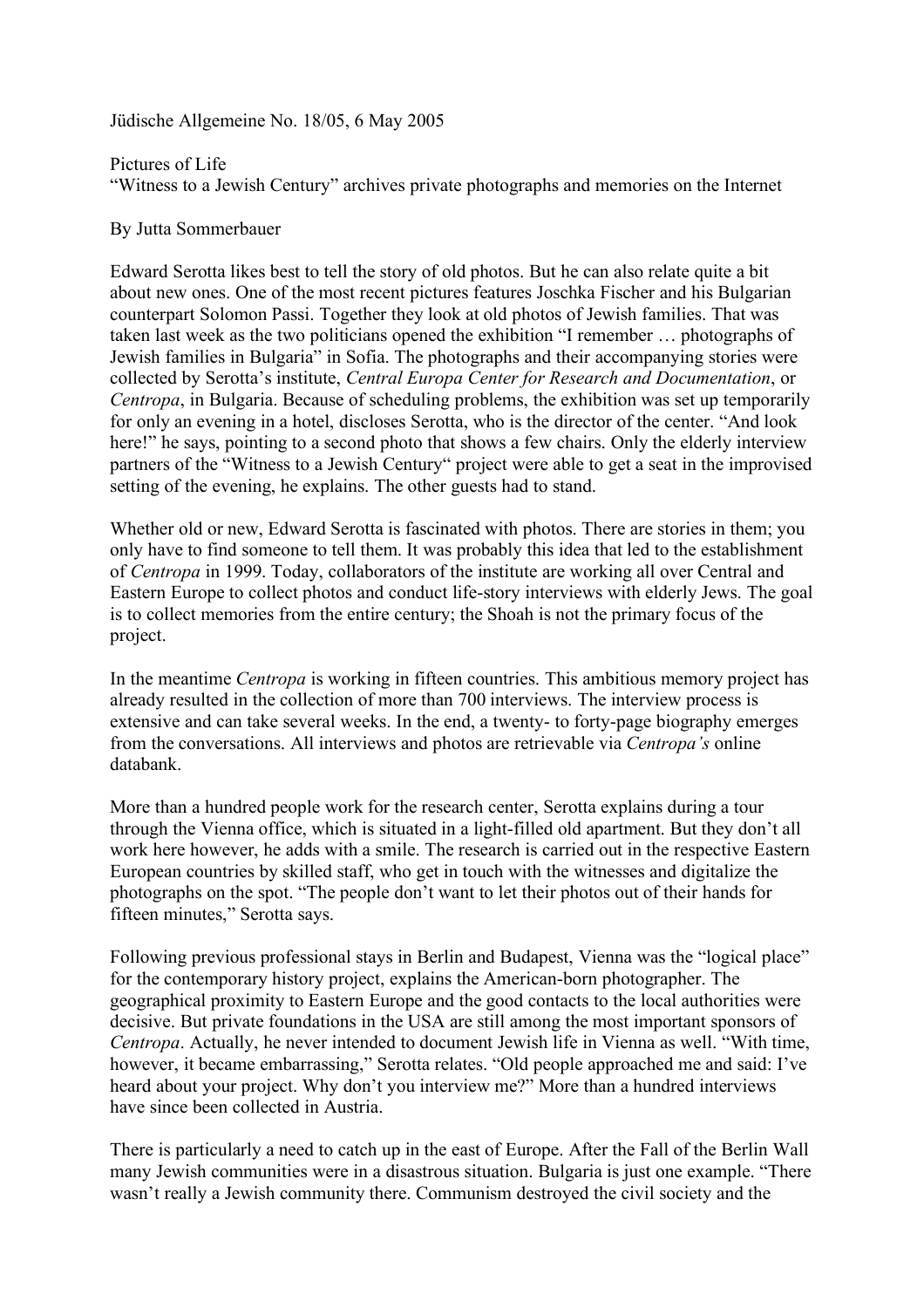Jüdische Allgemeine No. 18/05, 6 May 2005

Pictures of Life "Witness to a Jewish Century" archives private photographs and memories on the Internet

By Jutta Sommerbauer

Edward Serotta likes best to tell the story of old photos. But he can also relate quite a bit about new ones. One of the most recent pictures features Joschka Fischer and his Bulgarian counterpart Solomon Passi. Together they look at old photos of Jewish families. That was taken last week as the two politicians opened the exhibition "I remember … photographs of Jewish families in Bulgaria" in Sofia. The photographs and their accompanying stories were collected by Serotta's institute, *Central Europa Center for Research and Documentation*, or *Centropa*, in Bulgaria. Because of scheduling problems, the exhibition was set up temporarily for only an evening in a hotel, discloses Serotta, who is the director of the center. "And look here!" he says, pointing to a second photo that shows a few chairs. Only the elderly interview partners of the "Witness to a Jewish Century" project were able to get a seat in the improvised setting of the evening, he explains. The other guests had to stand.

Whether old or new, Edward Serotta is fascinated with photos. There are stories in them; you only have to find someone to tell them. It was probably this idea that led to the establishment of *Centropa* in 1999. Today, collaborators of the institute are working all over Central and Eastern Europe to collect photos and conduct life-story interviews with elderly Jews. The goal is to collect memories from the entire century; the Shoah is not the primary focus of the project.

In the meantime *Centropa* is working in fifteen countries. This ambitious memory project has already resulted in the collection of more than 700 interviews. The interview process is extensive and can take several weeks. In the end, a twenty- to forty-page biography emerges from the conversations. All interviews and photos are retrievable via *Centropa's* online databank.

More than a hundred people work for the research center, Serotta explains during a tour through the Vienna office, which is situated in a light-filled old apartment. But they don't all work here however, he adds with a smile. The research is carried out in the respective Eastern European countries by skilled staff, who get in touch with the witnesses and digitalize the photographs on the spot. "The people don't want to let their photos out of their hands for fifteen minutes," Serotta says.

Following previous professional stays in Berlin and Budapest, Vienna was the "logical place" for the contemporary history project, explains the American-born photographer. The geographical proximity to Eastern Europe and the good contacts to the local authorities were decisive. But private foundations in the USA are still among the most important sponsors of *Centropa*. Actually, he never intended to document Jewish life in Vienna as well. "With time, however, it became embarrassing," Serotta relates. "Old people approached me and said: I've heard about your project. Why don't you interview me?" More than a hundred interviews have since been collected in Austria.

There is particularly a need to catch up in the east of Europe. After the Fall of the Berlin Wall many Jewish communities were in a disastrous situation. Bulgaria is just one example. "There wasn't really a Jewish community there. Communism destroyed the civil society and the